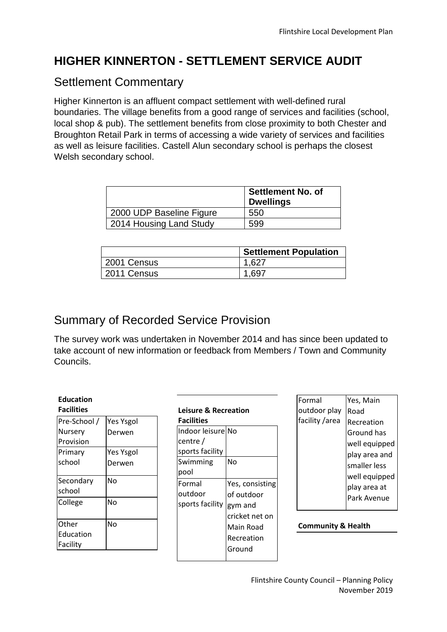## **HIGHER KINNERTON - SETTLEMENT SERVICE AUDIT**

### Settlement Commentary

Higher Kinnerton is an affluent compact settlement with well-defined rural boundaries. The village benefits from a good range of services and facilities (school, local shop & pub). The settlement benefits from close proximity to both Chester and Broughton Retail Park in terms of accessing a wide variety of services and facilities as well as leisure facilities. Castell Alun secondary school is perhaps the closest Welsh secondary school.

|                          | <b>Settlement No. of</b><br><b>Dwellings</b> |
|--------------------------|----------------------------------------------|
| 2000 UDP Baseline Figure | 550                                          |
| 2014 Housing Land Study  | 599                                          |

|             | <b>Settlement Population</b> |
|-------------|------------------------------|
| 2001 Census | 1.627                        |
| 2011 Census | 1.697                        |

# Summary of Recorded Service Provision

The survey work was undertaken in November 2014 and has since been updated to take account of new information or feedback from Members / Town and Community Councils.

| <b>Education</b><br><b>Facilities</b> |                  |
|---------------------------------------|------------------|
| Pre-School /                          | <b>Yes Ysgol</b> |
| Nursery                               | Derwen           |
| Provision                             |                  |
| Primary                               | <b>Yes Ysgol</b> |
| school                                | Derwen           |
| Secondary                             | No               |
| school                                |                  |
| College                               | No               |
| Other                                 | No               |
| Education                             |                  |
| Facility                              |                  |

| <b>Leisure &amp; Recreation</b><br><b>Facilities</b> |                 |  |  |  |
|------------------------------------------------------|-----------------|--|--|--|
|                                                      |                 |  |  |  |
| lIndoor leisurelNo                                   |                 |  |  |  |
| centre /                                             |                 |  |  |  |
| sports facility                                      |                 |  |  |  |
| Swimming                                             | No              |  |  |  |
| pool                                                 |                 |  |  |  |
| <b>Formal</b>                                        | Yes, consisting |  |  |  |
| outdoor                                              | of outdoor      |  |  |  |
| sports facility                                      | gym and         |  |  |  |
|                                                      | cricket net on  |  |  |  |
|                                                      | Main Road       |  |  |  |
|                                                      | Recreation      |  |  |  |
|                                                      | Ground          |  |  |  |
|                                                      |                 |  |  |  |

| Formal         | Yes, Main     |  |  |  |
|----------------|---------------|--|--|--|
| outdoor play   | Road          |  |  |  |
| facility /area | Recreation    |  |  |  |
|                | Ground has    |  |  |  |
|                | well equipped |  |  |  |
|                | play area and |  |  |  |
|                | smaller less  |  |  |  |
|                | well equipped |  |  |  |
|                | play area at  |  |  |  |
|                | Park Avenue   |  |  |  |
|                |               |  |  |  |

**Community & Health**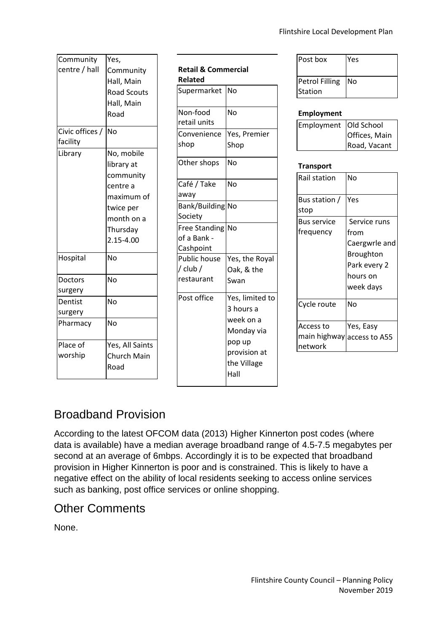| Community       | Yes,               |  |  |  |
|-----------------|--------------------|--|--|--|
| centre / hall   | Community          |  |  |  |
|                 | Hall, Main         |  |  |  |
|                 | <b>Road Scouts</b> |  |  |  |
|                 | Hall, Main         |  |  |  |
|                 | Road               |  |  |  |
| Civic offices / | <b>No</b>          |  |  |  |
| facility        |                    |  |  |  |
| Library         | No, mobile         |  |  |  |
|                 | library at         |  |  |  |
|                 | community          |  |  |  |
|                 | centre a           |  |  |  |
|                 | maximum of         |  |  |  |
|                 | twice per          |  |  |  |
|                 | month on a         |  |  |  |
|                 | Thursday           |  |  |  |
|                 | 2.15-4.00          |  |  |  |
| Hospital        | No                 |  |  |  |
|                 |                    |  |  |  |
| <b>Doctors</b>  | No                 |  |  |  |
| surgery         |                    |  |  |  |
| Dentist         | Nο                 |  |  |  |
| surgery         |                    |  |  |  |
| Pharmacy        | No                 |  |  |  |
| Place of        | Yes, All Saints    |  |  |  |
| worship         | <b>Church Main</b> |  |  |  |
|                 | Road               |  |  |  |
|                 |                    |  |  |  |

| Retail & Commercial<br>Related                   |                                                                                                          |  |  |  |  |
|--------------------------------------------------|----------------------------------------------------------------------------------------------------------|--|--|--|--|
| Supermarket                                      | Nο                                                                                                       |  |  |  |  |
| Non-food<br>retail units                         | Nο                                                                                                       |  |  |  |  |
| Convenience<br>shop                              | Yes, Premier<br>Shop                                                                                     |  |  |  |  |
| Other shops                                      | No                                                                                                       |  |  |  |  |
| Café / Take<br>away                              | No                                                                                                       |  |  |  |  |
| Bank/Building<br>Society                         | No                                                                                                       |  |  |  |  |
| <b>Free Standing</b><br>of a Bank -<br>Cashpoint | No                                                                                                       |  |  |  |  |
| <b>Public house</b><br>/ club /<br>restaurant    | Yes, the Royal<br>Oak, & the<br>Swan                                                                     |  |  |  |  |
| Post office                                      | Yes, limited to<br>3 hours a<br>week on a<br>Monday via<br>pop up<br>provision at<br>the Village<br>Hall |  |  |  |  |

| Post box                         | Yes |
|----------------------------------|-----|
| <b>Petrol Filling</b><br>Station | INo |

### **Employment**

| Employment Old School |               |  |  |
|-----------------------|---------------|--|--|
|                       | Offices, Main |  |  |
|                       | Road, Vacant  |  |  |

#### **Transport**

| Rail station                                       | No                                                                                                 |
|----------------------------------------------------|----------------------------------------------------------------------------------------------------|
| Bus station /<br>stop                              | Yes                                                                                                |
| <b>Bus service</b><br>frequency                    | Service runs<br>from<br>Caergwrle and<br><b>Broughton</b><br>Park every 2<br>hours on<br>week days |
| Cycle route                                        | No                                                                                                 |
| Access to<br>main highway access to A55<br>network | Yes, Easy                                                                                          |

### Broadband Provision

According to the latest OFCOM data (2013) Higher Kinnerton post codes (where data is available) have a median average broadband range of 4.5-7.5 megabytes per second at an average of 6mbps. Accordingly it is to be expected that broadband provision in Higher Kinnerton is poor and is constrained. This is likely to have a negative effect on the ability of local residents seeking to access online services such as banking, post office services or online shopping.

### Other Comments

None.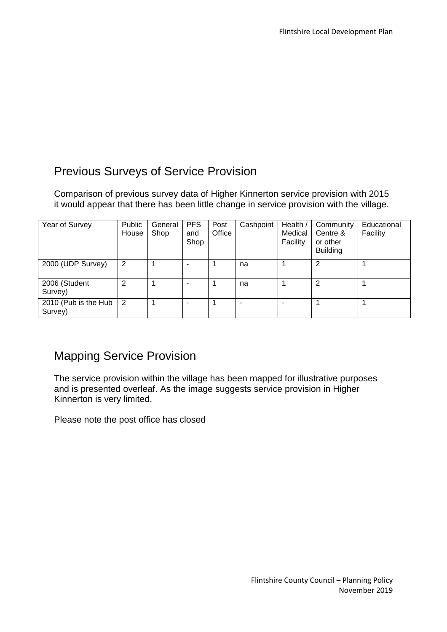## Previous Surveys of Service Provision

Comparison of previous survey data of Higher Kinnerton service provision with 2015 it would appear that there has been little change in service provision with the village.

| Year of Survey                  | Public<br>House | General<br>Shop | <b>PFS</b><br>and<br>Shop | Post<br>Office | Cashpoint | Health /<br>Medical<br>Facility | Community<br>Centre &<br>or other<br><b>Building</b> | Educational<br>Facility |
|---------------------------------|-----------------|-----------------|---------------------------|----------------|-----------|---------------------------------|------------------------------------------------------|-------------------------|
| 2000 (UDP Survey)               | 2               |                 |                           |                | na        |                                 | 2                                                    |                         |
| 2006 (Student<br>Survey)        | 2               |                 | -                         |                | na        |                                 | 2                                                    |                         |
| 2010 (Pub is the Hub<br>Survey) | 2               |                 | -                         |                |           |                                 |                                                      |                         |

### Mapping Service Provision

The service provision within the village has been mapped for illustrative purposes and is presented overleaf. As the image suggests service provision in Higher Kinnerton is very limited.

Please note the post office has closed